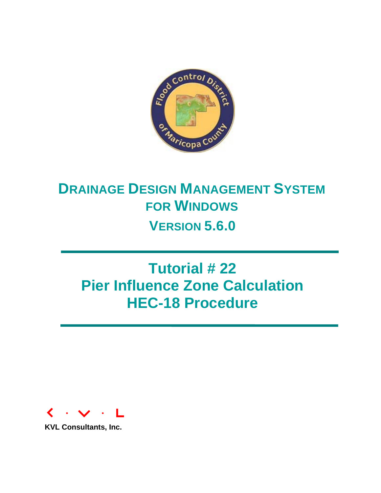

# **DRAINAGE DESIGN MANAGEMENT SYSTEM FOR WINDOWS VERSION 5.6.0**

# **Tutorial # 22 Pier Influence Zone Calculation HEC-18 Procedure**



**KVL Consultants, Inc.**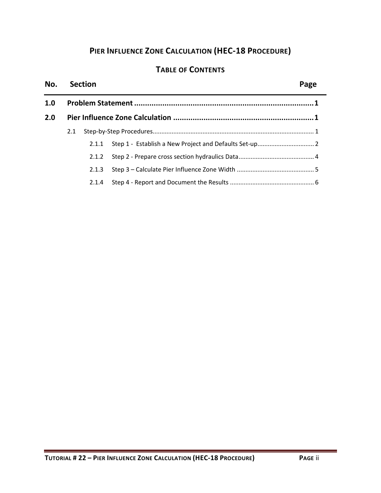## **PIER INFLUENCE ZONE CALCULATION (HEC‐18 PROCEDURE)**

### **TABLE OF CONTENTS**

#### **No. Section Page**

| 1.0 |     |       |  |  |  |  |  |
|-----|-----|-------|--|--|--|--|--|
| 2.0 |     |       |  |  |  |  |  |
|     | 2.1 |       |  |  |  |  |  |
|     |     |       |  |  |  |  |  |
|     |     |       |  |  |  |  |  |
|     |     |       |  |  |  |  |  |
|     |     | 2.1.4 |  |  |  |  |  |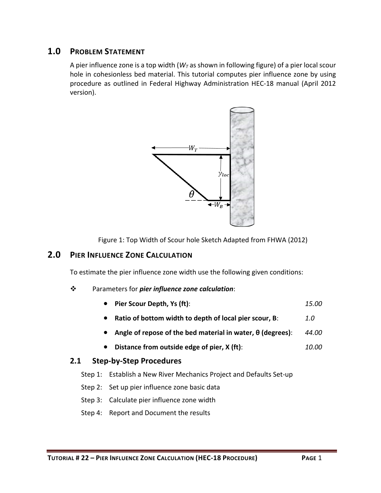#### **1.0 PROBLEM STATEMENT**

A pier influence zone is a top width  $(W<sub>T</sub>$  as shown in following figure) of a pier local scour hole in cohesionless bed material. This tutorial computes pier influence zone by using procedure as outlined in Federal Highway Administration HEC‐18 manual (April 2012 version).



Figure 1: Top Width of Scour hole Sketch Adapted from FHWA (2012)

#### **2.0 PIER INFLUENCE ZONE CALCULATION**

To estimate the pier influence zone width use the following given conditions:

#### Parameters for *pier influence zone calculation*:

- **Pier Scour Depth, Ys (ft)**: *15.00*
- **Ratio of bottom width to depth of local pier scour, B**: *1.0*
- **Angle of repose of the bed material in water, θ (degrees)**: *44.00*
- **Distance from outside edge of pier, X (ft)**: *10.00*

#### **2.1 Step‐by‐Step Procedures**

- Step 1: Establish a New River Mechanics Project and Defaults Set-up
- Step 2: Set up pier influence zone basic data
- Step 3: Calculate pier influence zone width
- Step 4: Report and Document the results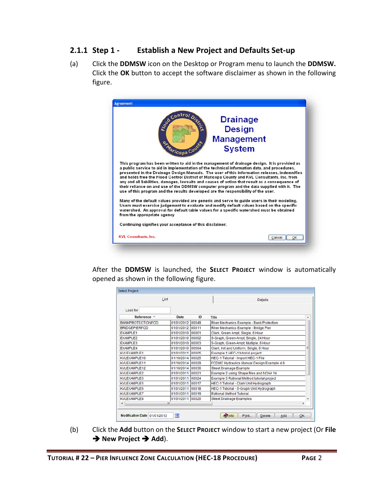#### **2.1.1 Step 1 ‐ Establish a New Project and Defaults Set‐up**

(a) Click the **DDMSW** icon on the Desktop or Program menu to launch the **DDMSW.** Click the **OK** button to accept the software disclaimer as shown in the following figure.

|                             |                                                          | <b>Drainage</b>                                                                                                                                                                                                                                                                                                                                                                                                                                                                                                                                                                                                                                                                   |
|-----------------------------|----------------------------------------------------------|-----------------------------------------------------------------------------------------------------------------------------------------------------------------------------------------------------------------------------------------------------------------------------------------------------------------------------------------------------------------------------------------------------------------------------------------------------------------------------------------------------------------------------------------------------------------------------------------------------------------------------------------------------------------------------------|
|                             | Societation Dist                                         | <b>Design</b>                                                                                                                                                                                                                                                                                                                                                                                                                                                                                                                                                                                                                                                                     |
|                             |                                                          |                                                                                                                                                                                                                                                                                                                                                                                                                                                                                                                                                                                                                                                                                   |
|                             |                                                          | <b>Management</b>                                                                                                                                                                                                                                                                                                                                                                                                                                                                                                                                                                                                                                                                 |
|                             | <b>Privaticopa County</b>                                | <b>System</b>                                                                                                                                                                                                                                                                                                                                                                                                                                                                                                                                                                                                                                                                     |
|                             |                                                          | This program has been written to aid in the management of drainage design. It is provided as<br>a public service to aid in implementation of the technical information data, and procedures.<br>presented in the Drainage Design Manuals. The user of this information releases, indemnifies<br>and holds free the Flood Control District of Maricopa County and KVL Consultants, Inc. from<br>any and all liabilities, damages, lawsuits and causes of action that result as a consequence of<br>their reliance on and use of the DDMSW computer program and the data supplied with it. The<br>use of this program and the results developed are the responsibility of the user. |
|                             |                                                          | Many of the default values provided are generic and serve to guide users in their modeling.<br>Users must exercise judgement to evaluate and modify default values based on the specific                                                                                                                                                                                                                                                                                                                                                                                                                                                                                          |
|                             |                                                          | watershed. An approval for default table values for a specific watershed must be obtained                                                                                                                                                                                                                                                                                                                                                                                                                                                                                                                                                                                         |
|                             |                                                          |                                                                                                                                                                                                                                                                                                                                                                                                                                                                                                                                                                                                                                                                                   |
| from the appropriate agency | Continuing signifies your acceptance of this disclaimer. |                                                                                                                                                                                                                                                                                                                                                                                                                                                                                                                                                                                                                                                                                   |

After the **DDMSW** is launched, the **SELECT PROJECT** window is automatically opened as shown in the following figure.

|                          | List             |       | <b>Details</b>                                |   |
|--------------------------|------------------|-------|-----------------------------------------------|---|
| Look for                 |                  |       |                                               |   |
| Reference -              | Date             | ID    | Title                                         |   |
| <b>BANKPROTECTIONFCD</b> | 01/01/2012       | 00049 | River Mechanics Example - Bank Protection     |   |
| <b>BRIDGEPIERFCD</b>     | 01/01/2012       | 00011 | River Mechanics Example - Bridge Pier         |   |
| <b>EXAMPLE1</b>          | 01/01/2010       | 00001 | Clark, Green Ampt, Single, 6 Hour             |   |
| EXAMPLE2                 | 01/01/2010       | 00002 | S-Graph, Green-Ampt, Single, 24 Hour          |   |
| EXAMPLE3                 | 01/01/2010 00003 |       | S-Graph, Green-Ampt, Multiple, 6 Hour         |   |
| <b>EXAMPLE4</b>          | 01/01/2010       | 00004 | Clark, Init and Uniform, Single, 6 Hour       | Ξ |
| KVI EXAMPLE1             | 01/01/2011 00005 |       | Example 1 HEC-1 tutorial project              |   |
| KVLEXAMPLE10             | 01/10/2014       | 00025 | HEC-1 Tutorial - Import HEC-1 File            |   |
| KVLEXAMPLE11             | 01/10/2014 00029 |       | FCDMC Hydraulics Manual Design Example 4.6    |   |
| <b>KVLEXAMPLE12</b>      | 01/10/2014 00030 |       | <b>Street Drainage Example</b>                |   |
| KVLEXAMPLE2              | 01/01/2011       | 00021 | Example 2 using Shape files and NOAA 14       |   |
| <b>KVLEXAMPLE3</b>       | 01/01/2011 00024 |       | Example 3 Rational Method tutorial project    |   |
| KVLEXAMPLE5              | 01/01/2011 00017 |       | <b>HEC-1 Tutorial - Clark Unit Hydrograph</b> |   |
| <b>KVLEXAMPLE6</b>       | 01/01/2011 00018 |       | HEC-1 Tutorial - S-Graph Unit Hydrograph      |   |
| <b>KVLEXAMPLE7</b>       | 01/01/2011 00019 |       | <b>Rational Method Tutorial</b>               |   |
| <b>KVLEXAMPLE8</b>       | 01/01/2011 00020 |       | <b>Street Drainage Examples</b>               |   |
| $\overline{\phantom{a}}$ | m                |       |                                               | ٠ |

(b) Click the **Add** button on the **SELECT PROJECT** window to start a new project (Or **File → New Project → Add**).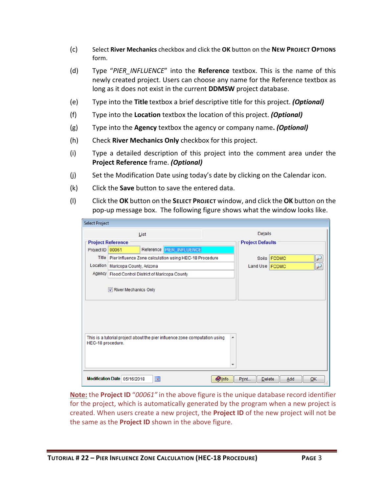- (c) Select **River Mechanics** checkbox and click the **OK** button on the **NEW PROJECT OPTIONS** form.
- (d) Type "*PIER\_INFLUENCE*" into the **Reference** textbox. This is the name of this newly created project. Users can choose any name for the Reference textbox as long as it does not exist in the current **DDMSW** project database.
- (e) Type into the **Title** textbox a brief descriptive title for this project. *(Optional)*
- (f) Type into the **Location** textbox the location of this project. *(Optional)*
- (g) Type into the **Agency** textbox the agency or company name**.** *(Optional)*
- (h) Check **River Mechanics Only** checkbox for this project.
- (i) Type a detailed description of this project into the comment area under the **Project Reference** frame. *(Optional)*
- (j) Set the Modification Date using today's date by clicking on the Calendar icon.
- (k) Click the **Save** button to save the entered data.
- (l) Click the **OK** button on the **SELECT PROJECT** window, and click the **OK** button on the pop‐up message box. The following figure shows what the window looks like.

|                   |                                     | List                                                                       | Details                 |                    |
|-------------------|-------------------------------------|----------------------------------------------------------------------------|-------------------------|--------------------|
|                   | <b>Project Reference</b>            |                                                                            | <b>Project Defaults</b> |                    |
| Project ID        | 00061                               | Reference PIER INFLUENCE                                                   |                         |                    |
|                   |                                     | Title   Pier Influence Zone calculation using HEC-18 Procedure             |                         | Soils <b>FCDMC</b> |
|                   | Location   Maricopa County, Arizona |                                                                            | Land Use FCDMC          | r                  |
|                   |                                     | Agency   Flood Control District of Maricopa County                         |                         |                    |
|                   |                                     |                                                                            |                         |                    |
|                   |                                     |                                                                            |                         |                    |
| HEC-18 procedure. |                                     | This is a tutorial project about the pier influence zone computation using | ▲                       |                    |

**Note:** the **Project ID** "*00061"* in the above figure is the unique database record identifier for the project, which is automatically generated by the program when a new project is created. When users create a new project, the **Project ID** of the new project will not be the same as the **Project ID** shown in the above figure.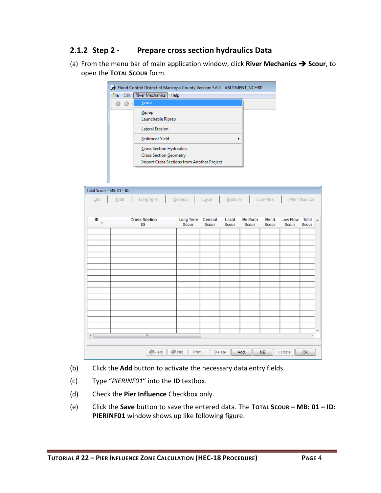### **2.1.2 Step 2 ‐ Prepare cross section hydraulics Data**

(a) From the menu bar of main application window, click **River Mechanics Scour**, to open the **TOTAL SCOUR** form.

|                            |              | Flood Control District of Maricopa County Version: 5.6.0 - ABUTMENT_NCHRP |                                            |                  |                |                  |               |                   |                |
|----------------------------|--------------|---------------------------------------------------------------------------|--------------------------------------------|------------------|----------------|------------------|---------------|-------------------|----------------|
|                            | Edit<br>File | <b>River Mechanics</b>                                                    | <b>Help</b>                                |                  |                |                  |               |                   |                |
|                            | a<br>ø       | Scour                                                                     |                                            |                  |                |                  |               |                   |                |
|                            |              | Riprap                                                                    |                                            |                  |                |                  |               |                   |                |
|                            |              | Launchable Riprap                                                         |                                            |                  |                |                  |               |                   |                |
|                            |              | Lateral Erosion                                                           |                                            |                  |                |                  |               |                   |                |
|                            |              | Sediment Yield                                                            |                                            |                  | ▶              |                  |               |                   |                |
|                            |              | Cross Section Hydraulics                                                  |                                            |                  |                |                  |               |                   |                |
|                            |              | Cross Section Geometry                                                    |                                            |                  |                |                  |               |                   |                |
|                            |              |                                                                           | Import Cross Sections from Another Project |                  |                |                  |               |                   |                |
|                            |              |                                                                           |                                            |                  |                |                  |               |                   |                |
|                            |              |                                                                           |                                            |                  |                |                  |               |                   |                |
| Total Scour - MB: 01 - ID: |              |                                                                           |                                            |                  |                |                  |               |                   |                |
| List                       | Total        | Long Term                                                                 | General                                    | Local            | Bedform        |                  | Low Flow      |                   | Pier Influence |
|                            |              |                                                                           |                                            |                  |                |                  |               |                   |                |
| ID<br>么                    |              | <b>Cross Section</b><br>ID                                                | Long Term<br><b>Scour</b>                  | General<br>Scour | Local<br>Scour | Bedform<br>Scour | Bend<br>Scour | Low Flow<br>Scour | Total<br>Scour |

| ID<br>$\Delta$ | <b>Cross Section</b><br>ID | Long Term<br>Scour | General<br>Scour | Local<br>Scour | Bedform<br>Scour | Bend<br>Scour | Low Flow<br>Scour | Total<br>Scour |
|----------------|----------------------------|--------------------|------------------|----------------|------------------|---------------|-------------------|----------------|
|                |                            |                    |                  |                |                  |               |                   |                |
|                |                            |                    |                  |                |                  |               |                   |                |
|                |                            |                    |                  |                |                  |               |                   |                |
|                |                            |                    |                  |                |                  |               |                   |                |
|                |                            |                    |                  |                |                  |               |                   |                |
|                |                            |                    |                  |                |                  |               |                   |                |
|                |                            |                    |                  |                |                  |               |                   |                |
|                |                            |                    |                  |                |                  |               |                   |                |
|                |                            |                    |                  |                |                  |               |                   |                |
|                |                            |                    |                  |                |                  |               |                   |                |
|                |                            |                    |                  |                |                  |               |                   |                |
|                | $\mathbf{m}$               |                    |                  |                |                  |               |                   | ١              |

- (b) Click the **Add** button to activate the necessary data entry fields.
- (c) Type "*PIERINF01*" into the **ID** textbox.

- (d) Check the **Pier Influence** Checkbox only.
- (e) Click the **Save** button to save the entered data. The **TOTAL SCOUR – MB: 01 – ID: PIERINF01** window shows up like following figure.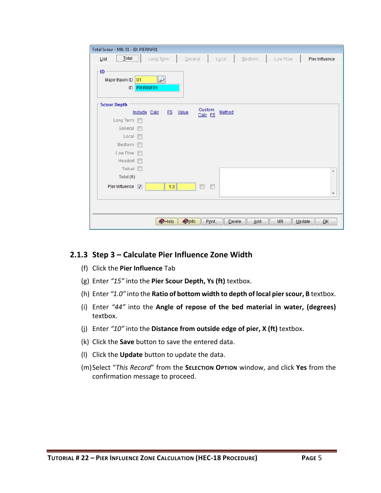| Total Scour - MB: 01 - ID: PIERINF01         |                          |                   |           |         |                     |                       |
|----------------------------------------------|--------------------------|-------------------|-----------|---------|---------------------|-----------------------|
| Total<br>List                                | Long Term                | General           | $L_0$ cal | Bedform | Low Flow            | <b>Pier Influence</b> |
| r ID<br>Major Basin ID 01<br>PIERINF01<br>ID | $\overline{\mathcal{L}}$ |                   |           |         |                     |                       |
| <b>Scour Depth</b>                           |                          |                   |           |         |                     |                       |
| Include Calc                                 | FS Value                 | Custom<br>Calc FS | Method    |         |                     |                       |
| Long Term<br>General <sub>[11]</sub>         |                          |                   |           |         |                     |                       |
| $Local \Box$                                 |                          |                   |           |         |                     |                       |
| Bedform<br>m                                 |                          |                   |           |         |                     |                       |
| Low Flow [                                   |                          |                   |           |         |                     |                       |
| Headcut <sub>[5]</sub>                       |                          |                   |           |         |                     |                       |
| Tailcut <sup></sup>                          |                          |                   |           |         |                     | ▲                     |
| Total (ft)                                   |                          |                   |           |         |                     |                       |
| Pier Influence V                             | 1.3                      | $\Box$<br>E       |           |         |                     |                       |
|                                              |                          |                   |           |         |                     | ۰                     |
|                                              |                          |                   |           |         |                     |                       |
|                                              |                          |                   |           |         |                     |                       |
|                                              | $\bigotimes$ Help        | Dinfo<br>Print    | Delete    | Add     | <b>MB</b><br>Update | QK                    |

#### **2.1.3 Step 3 – Calculate Pier Influence Zone Width**

- (f) Click the **Pier Influence** Tab
- (g) Enter *"15"* into the **Pier Scour Depth, Ys (ft)** textbox.
- (h) Enter *"1.0"* into the **Ratio of bottom width to depth of local pierscour, B** textbox.
- (i) Enter *"44"* into the **Angle of repose of the bed material in water, (degrees)** textbox.
- (j) Enter *"10"* into the **Distance from outside edge of pier, X (ft)** textbox.
- (k) Click the **Save** button to save the entered data.
- (l) Click the **Update** button to update the data.
- (m)Select "*This Record*" from the **SELECTION OPTION** window, and click **Yes** from the confirmation message to proceed.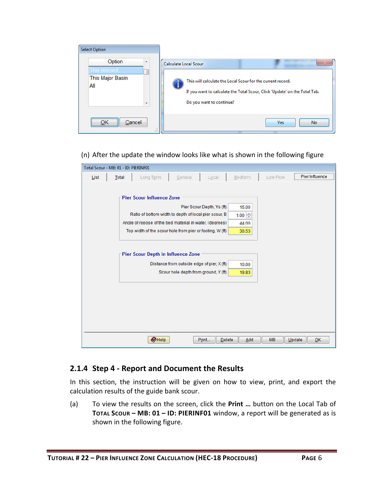| <b>Select Option</b>                                                                     |                                                                                                                  |                                                                                  |
|------------------------------------------------------------------------------------------|------------------------------------------------------------------------------------------------------------------|----------------------------------------------------------------------------------|
| Option<br>$\overline{\phantom{a}}$<br><b>This Record</b><br>This Major Basin<br>All<br>۰ | Calculate Local Scour<br>This will calculate the Local Scour for the current record.<br>Do you want to continue? | 26<br>If you want to calculate the Total Scour, Click 'Update' on the Total Tab. |
| Cancel<br>OK<br>.22                                                                      |                                                                                                                  | <b>Yes</b><br><b>No</b>                                                          |

#### (n) After the update the window looks like what is shown in the following figure

| Total Scour - MB: 01 - ID: PIERINF01 |       |                                                          |                                            |                           |             |           |                |
|--------------------------------------|-------|----------------------------------------------------------|--------------------------------------------|---------------------------|-------------|-----------|----------------|
| List                                 | Total | Long Term                                                | General                                    | Local                     | Bedform     | Low Flow  | Pier Influence |
|                                      |       |                                                          |                                            |                           |             |           |                |
|                                      |       | <b>Pier Scour Influence Zone</b>                         |                                            |                           |             |           |                |
|                                      |       |                                                          |                                            | Pier Scour Depth, Ys (ft) | 15.00       |           |                |
|                                      |       | Ratio of bottom width to depth of local pier scour, B    |                                            |                           | $1.00 \div$ |           |                |
|                                      |       | Angle of repose of the bed material in water, (degrees)  |                                            |                           | 44.00       |           |                |
|                                      |       | Top width of the scour hole from pier or footing, W (ft) |                                            |                           | 30.53       |           |                |
|                                      |       |                                                          |                                            |                           |             |           |                |
|                                      |       | <b>Pier Scour Depth in Influence Zone</b>                |                                            |                           |             |           |                |
|                                      |       |                                                          | Distance from outside edge of pier, X (ft) |                           | 10.00       |           |                |
|                                      |       |                                                          | Scour hole depth from ground, Y (ft)       |                           | 19.83       |           |                |
|                                      |       |                                                          |                                            |                           |             |           |                |
|                                      |       |                                                          |                                            |                           |             |           |                |
|                                      |       |                                                          |                                            |                           |             |           |                |
|                                      |       |                                                          |                                            |                           |             |           |                |
|                                      |       |                                                          |                                            |                           |             |           |                |
|                                      |       |                                                          |                                            |                           |             |           |                |
|                                      |       | $\bigotimes$ Help                                        |                                            | Print<br>Delete           | Add         | <b>MB</b> | QK<br>Update   |

#### **2.1.4 Step 4 ‐ Report and Document the Results**

In this section, the instruction will be given on how to view, print, and export the calculation results of the guide bank scour.

(a) To view the results on the screen, click the **Print …** button on the Local Tab of **TOTAL SCOUR – MB: 01 – ID: PIERINF01** window, a report will be generated as is shown in the following figure.